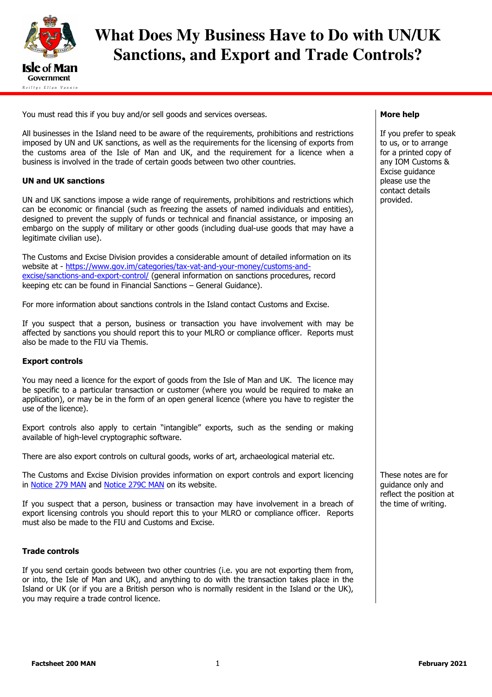

# **What Does My Business Have to Do with UN/UK Sanctions, and Export and Trade Controls?**

You must read this if you buy and/or sell goods and services overseas.

All businesses in the Island need to be aware of the requirements, prohibitions and restrictions imposed by UN and UK sanctions, as well as the requirements for the licensing of exports from the customs area of the Isle of Man and UK, and the requirement for a licence when a business is involved in the trade of certain goods between two other countries.

## UN and UK sanctions

UN and UK sanctions impose a wide range of requirements, prohibitions and restrictions which can be economic or financial (such as freezing the assets of named individuals and entities), designed to prevent the supply of funds or technical and financial assistance, or imposing an embargo on the supply of military or other goods (including dual-use goods that may have a legitimate civilian use).

The Customs and Excise Division provides a considerable amount of detailed information on its website at - https://www.gov.im/categories/tax-vat-and-your-money/customs-andexcise/sanctions-and-export-control/ (general information on sanctions procedures, record keeping etc can be found in Financial Sanctions – General Guidance).

For more information about sanctions controls in the Island contact Customs and Excise.

If you suspect that a person, business or transaction you have involvement with may be affected by sanctions you should report this to your MLRO or compliance officer. Reports must also be made to the FIU via Themis.

#### Export controls

You may need a licence for the export of goods from the Isle of Man and UK. The licence may be specific to a particular transaction or customer (where you would be required to make an application), or may be in the form of an open general licence (where you have to register the use of the licence).

Export controls also apply to certain "intangible" exports, such as the sending or making available of high-level cryptographic software.

There are also export controls on cultural goods, works of art, archaeological material etc.

The Customs and Excise Division provides information on export controls and export licencing in [Notice 279 MAN](https://www.gov.im/media/88875/notice-279-man-export-licensing-controls-160222.pdf) and [Notice 279C MAN](https://www.gov.im/media/88879/notice-279c-man-exports-of-cultural-goods-160222.pdf) on its website.

If you suspect that a person, business or transaction may have involvement in a breach of export licensing controls you should report this to your MLRO or compliance officer. Reports must also be made to the FIU and Customs and Excise.

#### Trade controls

If you send certain goods between two other countries (i.e. you are not exporting them from, or into, the Isle of Man and UK), and anything to do with the transaction takes place in the Island or UK (or if you are a British person who is normally resident in the Island or the UK), you may require a trade control licence.

#### More help

If you prefer to speak to us, or to arrange for a printed copy of any IOM Customs & Excise guidance please use the contact details provided.

These notes are for guidance only and reflect the position at the time of writing.